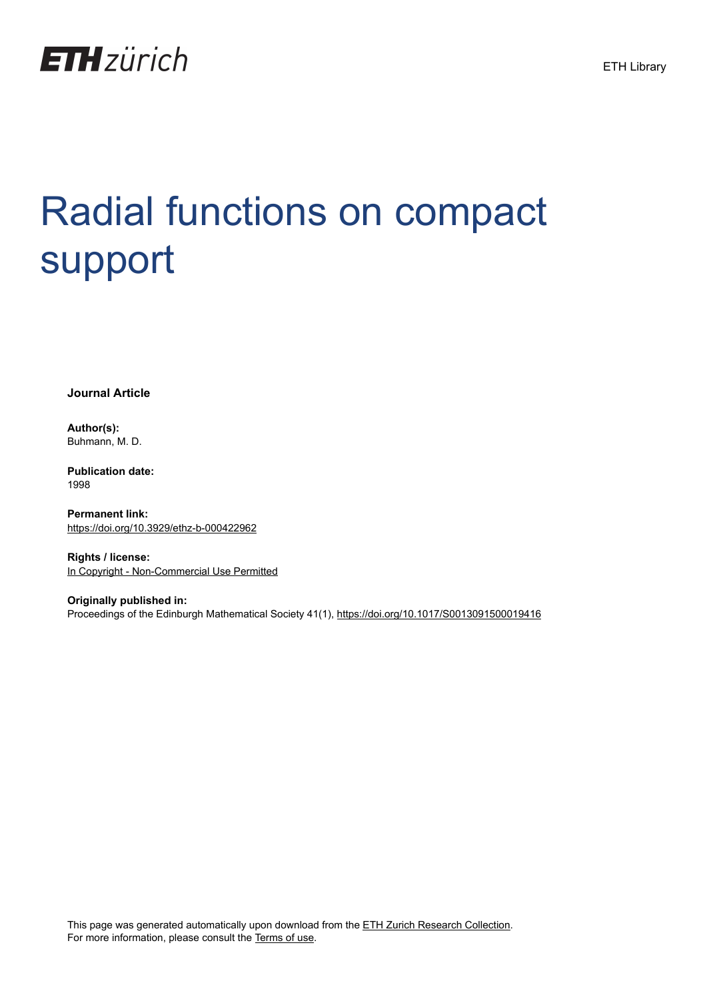

# Radial functions on compact support

**Journal Article**

**Author(s):** Buhmann, M. D.

**Publication date:** 1998

**Permanent link:** <https://doi.org/10.3929/ethz-b-000422962>

**Rights / license:** [In Copyright - Non-Commercial Use Permitted](http://rightsstatements.org/page/InC-NC/1.0/)

**Originally published in:** Proceedings of the Edinburgh Mathematical Society 41(1), <https://doi.org/10.1017/S0013091500019416> ETH Library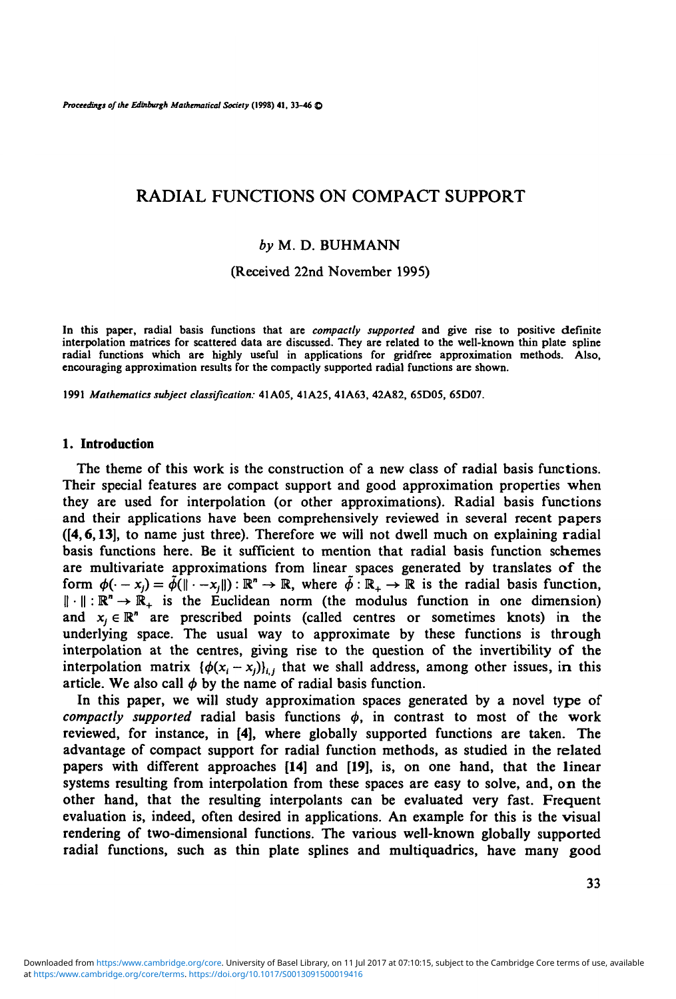*Proceedings of the Edinburgh Mathematical Society* **(1998) 41, 33-46 ©**

# RADIAL FUNCTIONS ON COMPACT SUPPORT

# *by* M. D. BUHMANN

(Received 22nd November 1995)

In this paper, radial basis functions that are *compactly supported* and give rise to positive definite interpolation matrices for scattered data are discussed. They are related to the well-known thin plate spline radial f

1991 *Mathematics subject classification:* 41A05, 41A25, 41A63, 42A82, 65D05, 65D07.

## 1. Introduction

The theme of this work is the construction of a new class of radial basis functions. Their special features are compact support and good approximation properties when they are used for interpolation (or other approximations). Radial basis functions and their applications have been comprehensively reviewed in several recent papers ([4,6,13], to name just three). Therefore we will not dwell much on explaining radial basis functions here. Be it sufficient to mention that radial basis function schemes are multivariate approximations from linear spaces generated by translates of the form  $\phi(\cdot - x_j) = \bar{\phi}(\|\cdot - x_j\|) : \mathbb{R}^n \to \mathbb{R}$ , where  $\bar{\phi} : \mathbb{R}_+ \to \mathbb{R}$  is the radial basis function,  $\|\cdot\|: \mathbb{R}^n \to \mathbb{R}_+$  is the Euclidean norm (the modulus function in one dimension) and  $x_j \in \mathbb{R}^n$  are prescribed points (called centres or sometimes knots) in the underlying space. The usual way to approximate by these functions is through interpolation at the centres, giving rise to the question of the invertibility of the interpolation matrix  $\{\phi(x_i - x_i)\}_{i,j}$  that we shall address, among other issues, in this article. We also call  $\phi$  by the name of radial basis function.

In this paper, we will study approximation spaces generated by a novel type of *compactly supported* radial basis functions  $\phi$ , in contrast to most of the work reviewed, for instance, in [4], where globally supported functions are taken. The advantage of compact support for radial function methods, as studied in the related papers with different approaches [14] and [19], is, on one hand, that the linear systems resulting from interpolation from these spaces are easy to solve, and, on the other hand, that the resulting interpolants can be evaluated very fast. Frequent evaluation is, indeed, often desired in applications. An example for this is the visual rendering of two-dimensional functions. The various well-known globally supported radial functions, such as thin plate splines and multiquadrics, have many good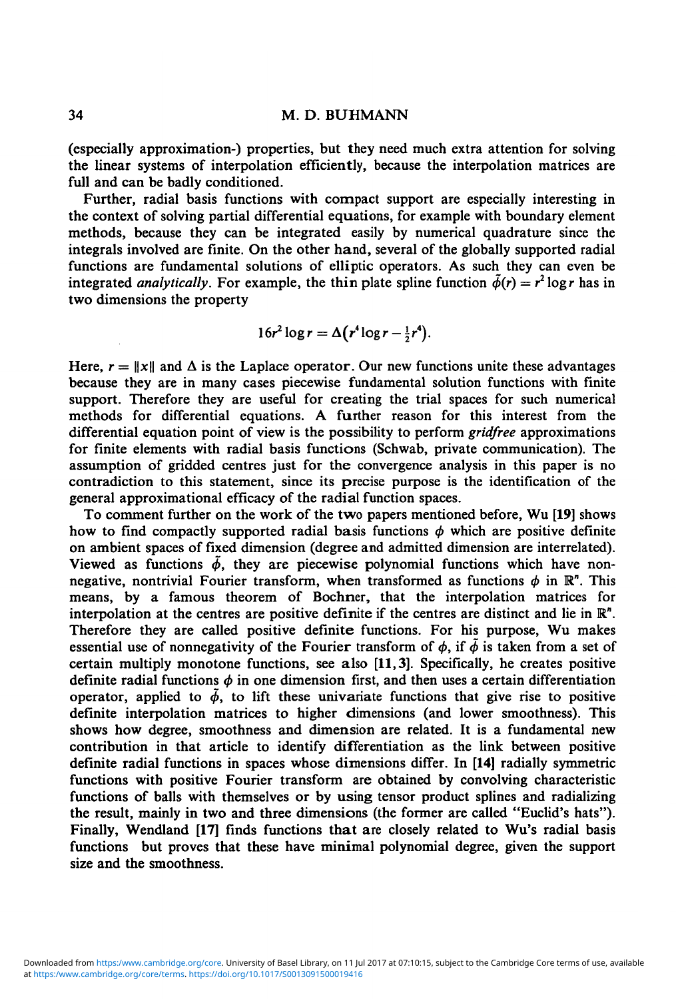(especially approximation-) properties, but they need much extra attention for solving the linear systems of interpolation efficiently, because the interpolation matrices are full and can be badly conditioned.

Further, radial basis functions with compact support are especially interesting in the context of solving partial differential equations, for example with boundary element methods, because they can be integrated easily by numerical quadrature since the integrals involved are finite. On the other hand, several of the globally supported radial functions are fundamental solutions of elliptic operators. As such they can even be integrated *analytically*. For example, the thin plate spline function  $\tilde{\phi}(r) = r^2 \log r$  has in two dimensions the property

$$
16r^2\log r = \Delta(r^4\log r - \frac{1}{2}r^4).
$$

Here,  $r = ||x||$  and  $\Delta$  is the Laplace operator. Our new functions unite these advantages because they are in many cases piecewise fundamental solution functions with finite support. Therefore they are useful for creating the trial spaces for such numerical methods for differential equations. A further reason for this interest from the differential equation point of view is the possibility to perform *gridfree* approximations for finite elements with radial basis functions (Schwab, private communication). The assumption of gridded centres just for the convergence analysis in this paper is no contradiction to this statement, since its precise purpose is the identification of the general approximational efficacy of the radial function spaces.

To comment further on the work of the two papers mentioned before, Wu [19] shows how to find compactly supported radial basis functions  $\phi$  which are positive definite on ambient spaces of fixed dimension (degree and admitted dimension are interrelated). Viewed as functions  $\tilde{\phi}$ , they are piecewise polynomial functions which have nonnegative, nontrivial Fourier transform, when transformed as functions  $\phi$  in  $\mathbb{R}^n$ . This means, by a famous theorem of Bochner, that the interpolation matrices for interpolation at the centres are positive definite if the centres are distinct and lie in  $\mathbb{R}^n$ . Therefore they are called positive definite functions. For his purpose, Wu makes essential use of nonnegativity of the Fourier transform of  $\phi$ , if  $\tilde{\phi}$  is taken from a set of certain multiply monotone functions, see also [11,3]. Specifically, he creates positive definite radial functions  $\phi$  in one dimension first, and then uses a certain differentiation operator, applied to  $\tilde{\phi}$ , to lift these univariate functions that give rise to positive definite interpolation matrices to higher dimensions (and lower smoothness). This shows how degree, smoothness and dimension are related. It is a fundamental new contribution in that article to identify differentiation as the link between positive definite radial functions in spaces whose dimensions differ. In [14] radially symmetric functions with positive Fourier transform are obtained by convolving characteristic functions of balls with themselves or by using tensor product splines and radializing the result, mainly in two and three dimensions (the former are called "Euclid's hats"). Finally, Wendland **[17]** finds functions that are closely related to Wu's radial basis functions but proves that these have minimal polynomial degree, given the support size and the smoothness.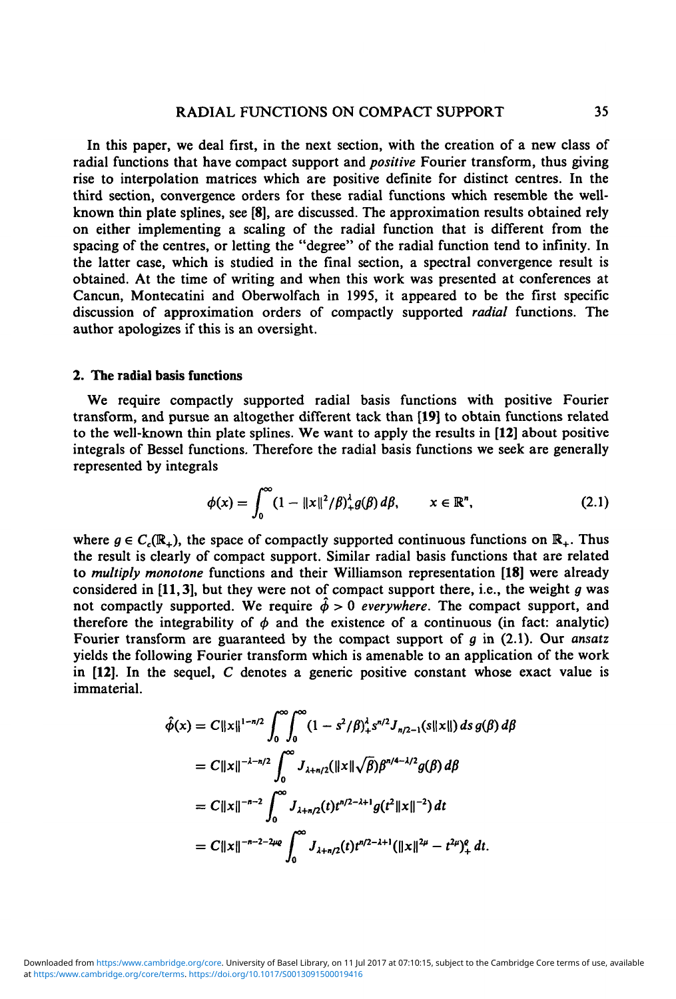# RADIAL FUNCTIONS ON COMPACT SUPPORT 35

In this paper, we deal first, in the next section, with the creation of a new class of radial functions that have compact support and *positive* Fourier transform, thus giving rise to interpolation matrices which are positive definite for distinct centres. In the third section, convergence orders for these radial functions which resemble the wellknown thin plate splines, see [8], are discussed. The approximation results obtained rely on either implementing a scaling of the radial function that is different from the spacing of the centres, or letting the "degree" of the radial function tend to infinity. In the latter case, which is studied in the final section, a spectral convergence result is obtained. At the time of writing and when this work was presented at conferences at Cancun, Montecatini and Oberwolfach in 1995, it appeared to be the first specific discussion of approximation orders of compactly supported *radial* functions. The author apologizes if this is an oversight.

# **2. The radial basis functions**

We require compactly supported radial basis functions with positive Fourier transform, and pursue an altogether different tack than **[19]** to obtain functions related to the well-known thin plate splines. We want to apply the results in **[12]** about positive integrals of Bessel functions. Therefore the radial basis functions we seek are generally represented by integrals

$$
\phi(x) = \int_0^\infty (1 - \|x\|^2 / \beta)_+^{\lambda} g(\beta) d\beta, \qquad x \in \mathbb{R}^n,
$$
 (2.1)

where  $g \in C_c(\mathbb{R}_+)$ , the space of compactly supported continuous functions on  $\mathbb{R}_+$ . Thus the result is clearly of compact support. Similar radial basis functions that are related to *multiply monotone* functions and their Williamson representation **[18]** were already considered in [11,3], but they were not of compact support there, i.e., the weight *g* was not compactly supported. We require  $\hat{\phi} > 0$  everywhere. The compact support, and therefore the integrability of  $\phi$  and the existence of a continuous (in fact: analytic) Fourier transform are guaranteed by the compact support of *g* in (2.1). Our *ansatz* yields the following Fourier transform which is amenable to an application of the work in **[12]. In** the sequel, C denotes a generic positive constant whose exact value is immaterial.

$$
\hat{\phi}(x) = C||x||^{1-n/2} \int_0^{\infty} \int_0^{\infty} (1 - s^2/\beta)_+^2 s^{n/2} J_{n/2-1}(s||x||) ds g(\beta) d\beta
$$
  
\n
$$
= C||x||^{-\lambda-n/2} \int_0^{\infty} J_{\lambda+n/2}(||x||\sqrt{\beta}) \beta^{n/4-\lambda/2} g(\beta) d\beta
$$
  
\n
$$
= C||x||^{-n-2} \int_0^{\infty} J_{\lambda+n/2}(t) t^{n/2-\lambda+1} g(t^2 ||x||^{-2}) dt
$$
  
\n
$$
= C||x||^{-n-2-2\mu\alpha} \int_0^{\infty} J_{\lambda+n/2}(t) t^{n/2-\lambda+1} (||x||^{2\mu} - t^{2\mu})_+^{\alpha} dt.
$$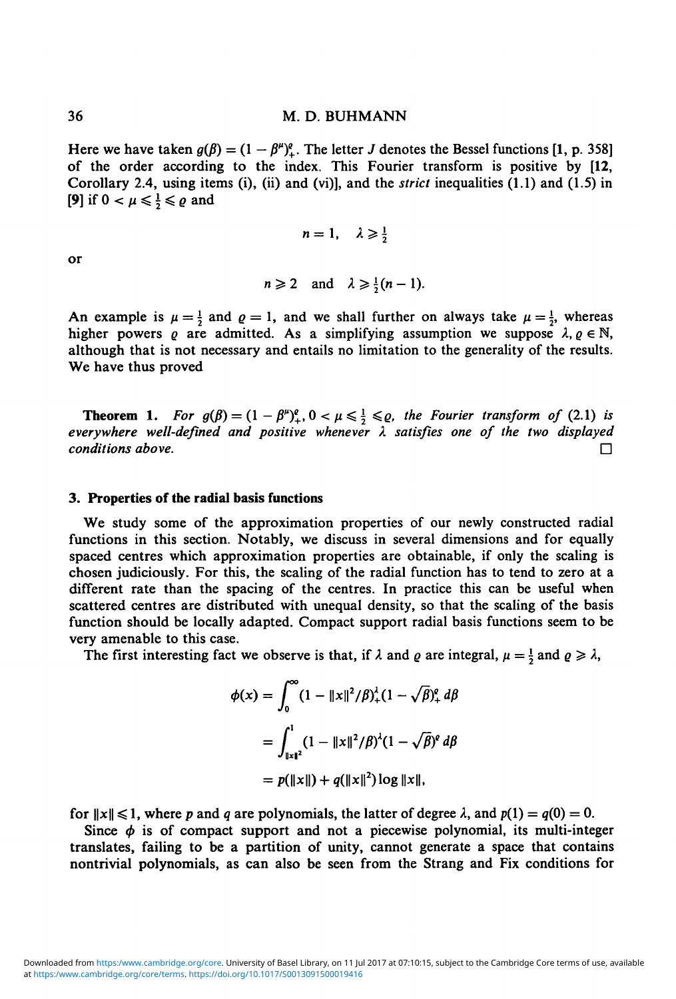Here we have taken  $g(\beta) = (1 - \beta^{\mu})^{\rho}_{+}$ . The letter *J* denotes the Bessel functions [1, p. 358] of the order according to the index. This Fourier transform is positive by [12, Corollary 2.4, using items (i), (ii) and (vi)], and the *strict* inequalities (1.1) and (1.5) in **[9]** if  $0 < \mu \leq \frac{1}{2} \leq \varrho$  and

$$
n=1, \quad \lambda \geqslant \frac{1}{2}
$$

or

$$
n \geqslant 2 \quad \text{and} \quad \lambda \geqslant \frac{1}{2}(n-1).
$$

An example is  $\mu = \frac{1}{2}$  and  $\varrho = 1$ , and we shall further on always take  $\mu = \frac{1}{2}$ , whereas higher powers  $\varrho$  are admitted. As a simplifying assumption we suppose  $\lambda, \varrho \in \mathbb{N}$ , although that is not necessary and entails no limitation to the generality of the results. We have thus proved

**Theorem 1.** For  $g(\beta) = (1 - \beta^{\mu})^{\rho}_+, 0 < \mu \leq \frac{1}{2} \leq \rho$ , the Fourier transform of (2.1) is *everywhere well-defined and positive whenever* A *satisfies one of the two displayed conditions above.* •

#### **3. Properties of the radial basis functions**

We study some of the approximation properties of our newly constructed radial functions in this section. Notably, we discuss in several dimensions and for equally spaced centres which approximation properties are obtainable, if only the scaling is chosen judiciously. For this, the scaling of the radial function has to tend to zero at a different rate than the spacing of the centres. In practice this can be useful when scattered centres are distributed with unequal density, so that the scaling of the basis function should be locally adapted. Compact support radial basis functions seem to be very amenable to this case.

The first interesting fact we observe is that, if  $\lambda$  and  $\varrho$  are integral,  $\mu = \frac{1}{2}$  and  $\varrho \ge \lambda$ ,

$$
\phi(x) = \int_0^\infty (1 - ||x||^2 / \beta)_+^{\lambda} (1 - \sqrt{\beta})_+^{\rho} d\beta
$$
  
= 
$$
\int_{||x||^2}^1 (1 - ||x||^2 / \beta)^{\lambda} (1 - \sqrt{\beta})^{\rho} d\beta
$$
  
= 
$$
p(||x||) + q(||x||^2) \log ||x||,
$$

for  $||x|| \le 1$ , where p and q are polynomials, the latter of degree  $\lambda$ , and  $p(1) = q(0) = 0$ .

Since  $\phi$  is of compact support and not a piecewise polynomial, its multi-integer translates, failing to be a partition of unity, cannot generate a space that contains nontrivial polynomials, as can also be seen from the Strang and Fix conditions for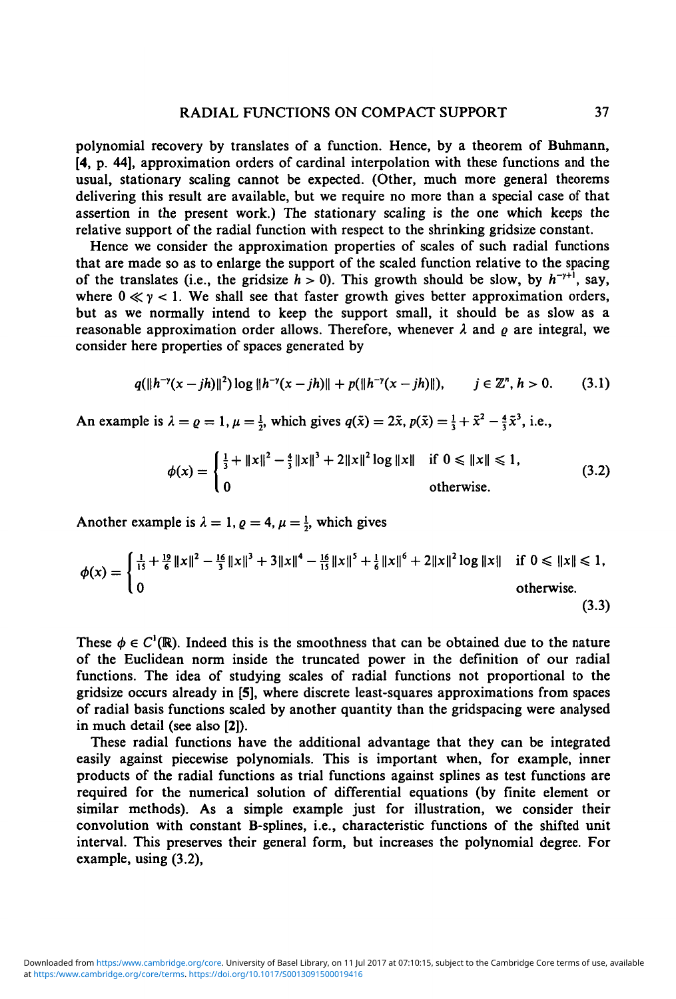polynomial recovery by translates of a function. Hence, by a theorem of Buhmann, [4, p. 44], approximation orders of cardinal interpolation with these functions and the usual, stationary scaling cannot be expected. (Other, much more general theorems delivering this result are available, but we require no more than a special case of that assertion in the present work.) The stationary scaling is the one which keeps the relative support of the radial function with respect to the shrinking gridsize constant.

Hence we consider the approximation properties of scales of such radial functions that are made so as to enlarge the support of the scaled function relative to the spacing of the translates (i.e., the gridsize  $h > 0$ ). This growth should be slow, by  $h^{-\gamma+1}$ , say, where  $0 \ll y < 1$ . We shall see that faster growth gives better approximation orders, but as we normally intend to keep the support small, it should be as slow as a reasonable approximation order allows. Therefore, whenever  $\lambda$  and  $\rho$  are integral, we consider here properties of spaces generated by

$$
q(\|h^{-\gamma}(x-jh)\|^2)\log\|h^{-\gamma}(x-jh)\|+p(\|h^{-\gamma}(x-jh)\|), \qquad j\in\mathbb{Z}^n, h>0. \tag{3.1}
$$

An example is  $\lambda = \varrho = 1, \mu = \frac{1}{2}$ , which gives  $q(\tilde{x}) = 2\tilde{x}, p(\tilde{x}) = \frac{1}{3} + \tilde{x}^2 - \frac{4}{3}\tilde{x}^3$ , i.e.,

$$
\phi(x) = \begin{cases} \frac{1}{3} + \|x\|^2 - \frac{4}{3} \|x\|^3 + 2\|x\|^2 \log \|x\| & \text{if } 0 \le \|x\| \le 1, \\ 0 & \text{otherwise.} \end{cases}
$$
(3.2)

Another example is  $\lambda = 1$ ,  $\rho = 4$ ,  $\mu = \frac{1}{2}$ , which gives

$$
\phi(x) = \begin{cases} \frac{1}{15} + \frac{19}{6} ||x||^2 - \frac{16}{3} ||x||^3 + 3||x||^4 - \frac{16}{15} ||x||^5 + \frac{1}{6} ||x||^6 + 2||x||^2 \log ||x|| & \text{if } 0 \le ||x|| \le 1, \\ 0 & \text{otherwise.} \end{cases} \tag{3.3}
$$

These  $\phi \in C^1(\mathbb{R})$ . Indeed this is the smoothness that can be obtained due to the nature of the Euclidean norm inside the truncated power in the definition of our radial functions. The idea of studying scales of radial functions not proportional to the gridsize occurs already in [5], where discrete least-squares approximations from spaces of radial basis functions scaled by another quantity than the gridspacing were analysed in much detail (see also [2]).

These radial functions have the additional advantage that they can be integrated easily against piecewise polynomials. This is important when, for example, inner products of the radial functions as trial functions against splines as test functions are required for the numerical solution of differential equations (by finite element or similar methods). As a simple example just for illustration, we consider their convolution with constant B-splines, i.e., characteristic functions of the shifted unit interval. This preserves their general form, but increases the polynomial degree. For example, using (3.2),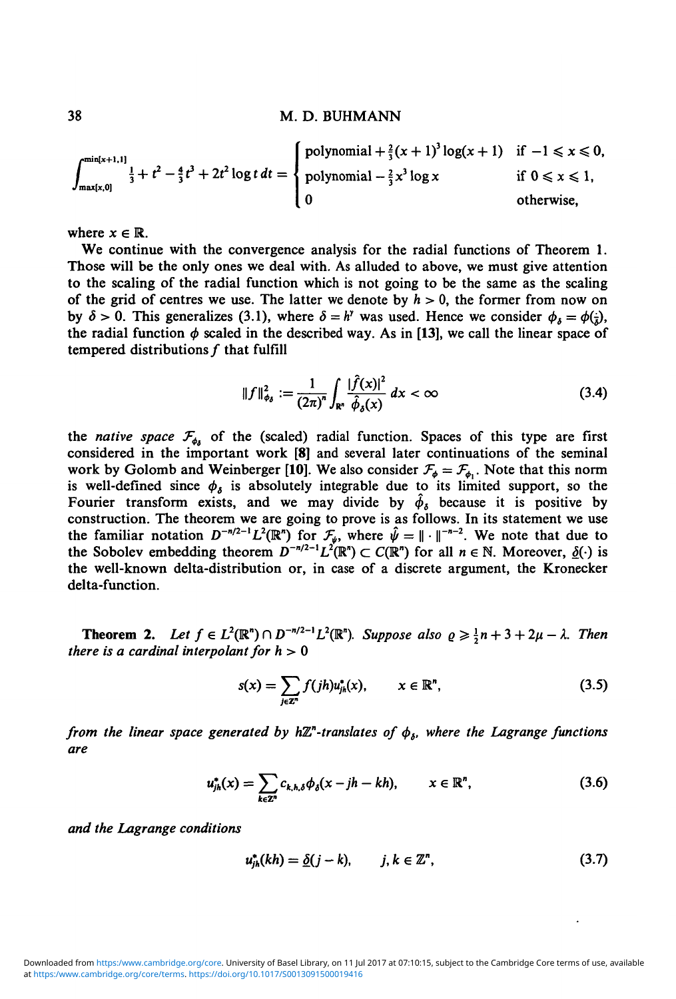$$
\int_{\max(x,0]}^{\min(x+1,1]} \frac{1}{3} + t^2 - \frac{4}{3}t^3 + 2t^2 \log t \, dt = \begin{cases} \text{polynomial} + \frac{2}{3}(x+1)^3 \log(x+1) & \text{if } -1 \leq x \leq 0, \\ \text{polynomial} - \frac{2}{3}x^3 \log x & \text{if } 0 \leq x \leq 1, \\ 0 & \text{otherwise,} \end{cases}
$$

where  $x \in \mathbb{R}$ .

We continue with the convergence analysis for the radial functions of Theorem 1. Those will be the only ones we deal with. As alluded to above, we must give attention to the scaling of the radial function which is not going to be the same as the scaling of the grid of centres we use. The latter we denote by  $h > 0$ , the former from now on by  $\delta > 0$ . This generalizes (3.1), where  $\delta = h^{\nu}$  was used. Hence we consider  $\phi_{\delta} = \phi(\frac{1}{\delta}),$ the radial function  $\phi$  scaled in the described way. As in [13], we call the linear space of tempered distributions  $f$  that fulfill

$$
||f||_{\phi_{\delta}}^2 := \frac{1}{(2\pi)^n} \int_{\mathbb{R}^n} \frac{|\hat{f}(x)|^2}{\hat{\phi}_{\delta}(x)} dx < \infty
$$
 (3.4)

the *native space*  $\mathcal{F}_{\phi}$  of the (scaled) radial function. Spaces of this type are first considered in the important work **[8]** and several later continuations of the seminal work by Golomb and Weinberger [10]. We also consider  $\mathcal{F}_{\phi} = \mathcal{F}_{\phi_1}$ . Note that this norm is well-defined since  $\phi_{\delta}$  is absolutely integrable due to its limited support, so the Fourier transform exists, and we may divide by  $\hat{\phi}_\delta$  because it is positive by construction. The theorem we are going to prove is as follows. In its statement we use the familiar notation  $D^{-n/2-1}L^2(\mathbb{R}^n)$  for  $\mathcal{F}_{\mu}$ , where  $\hat{\psi} = \|\cdot\|^{-n-2}$ . We note that due to the Sobolev embedding theorem  $D^{-n/2-1}L^2(\mathbb{R}^n) \subset C(\mathbb{R}^n)$  for all  $n \in \mathbb{N}$ . Moreover,  $\underline{\delta}(\cdot)$  is the well-known delta-distribution or, in case of a discrete argument, the Kronecker delta-function.

**Theorem 2.** Let  $f \in L^2(\mathbb{R}^n) \cap D^{-n/2-1}L^2(\mathbb{R}^n)$ . Suppose also  $\varrho \ge \frac{1}{2}n + 3 + 2\mu - \lambda$ . Then *there is a cardinal interpolant for*  $h > 0$ 

$$
s(x) = \sum_{j \in \mathbb{Z}^n} f(jh) u_{jk}^*(x), \qquad x \in \mathbb{R}^n,
$$
 (3.5)

*from the linear space generated by h* $\mathbb{Z}^n$ -translates of  $\phi$ <sub>b</sub>, where the Lagrange functions *are*

$$
u_{jk}^*(x) = \sum_{k \in \mathbb{Z}^n} c_{k,h,\delta} \phi_{\delta}(x - jh - kh), \qquad x \in \mathbb{R}^n, \tag{3.6}
$$

and the Lagrange conditions

$$
u_{jk}^*(kh) = \underline{\delta}(j-k), \qquad j, k \in \mathbb{Z}^n, \tag{3.7}
$$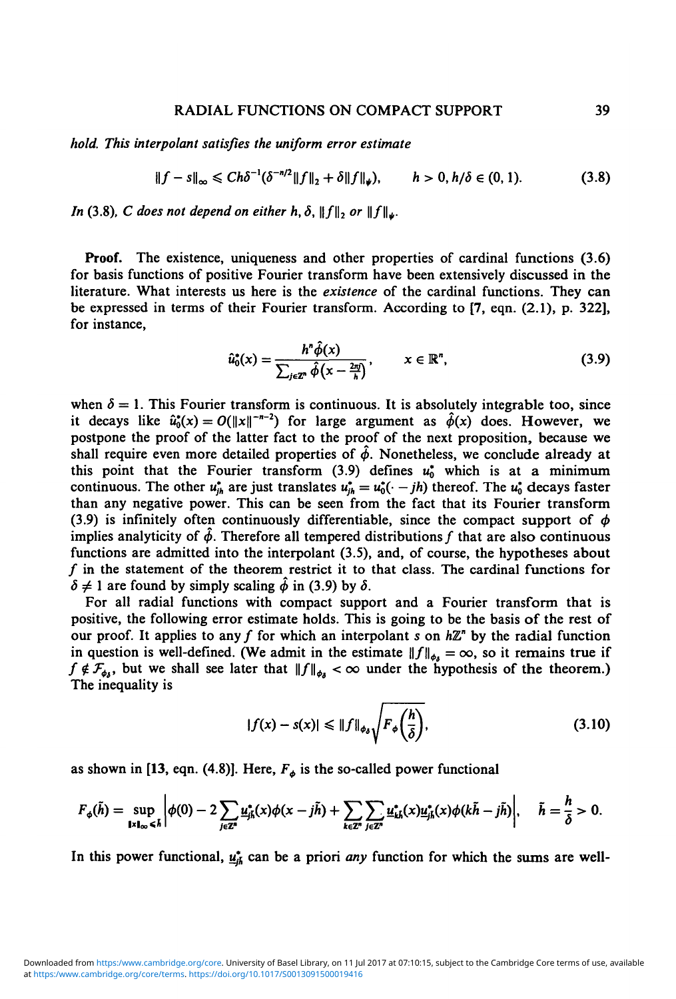# RADIAL FUNCTIONS ON COMPACT SUPPORT 39

*hold. This interpolant satisfies the uniform error estimate* 

$$
||f - s||_{\infty} \le C h \delta^{-1} (\delta^{-n/2} ||f||_2 + \delta ||f||_{\psi}), \qquad h > 0, h/\delta \in (0, 1).
$$
 (3.8)

*In* (3.8), *C* does not depend on either h,  $\delta$ ,  $\|f\|$ , or  $\|f\|_{\mu}$ .

Proof. The existence, uniqueness and other properties of cardinal functions (3.6) for basis functions of positive Fourier transform have been extensively discussed in the literature. What interests us here is the *existence* of the cardinal functions. They can be expressed in terms of their Fourier transform. According to [7, eqn. (2.1), p. 322], for instance,

$$
\hat{u}_0^*(x) = \frac{h^n \hat{\phi}(x)}{\sum_{i \in \mathbb{Z}^n} \hat{\phi}\left(x - \frac{2\pi i}{h}\right)}, \qquad x \in \mathbb{R}^n,
$$
\n(3.9)

when  $\delta = 1$ . This Fourier transform is continuous. It is absolutely integrable too, since it decays like  $\hat{u}_0^*(x) = O(||x||^{-n-2})$  for large argument as  $\hat{\phi}(x)$  does. However, we postpone the proof of the latter fact to the proof of the next proposition, because we shall require even more detailed properties of  $\hat{\phi}$ . Nonetheless, we conclude already at this point that the Fourier transform  $(3.9)$  defines  $u_0^*$  which is at a minimum continuous. The other  $u_{ih}^*$  are just translates  $u_{ih}^* = u_0^*(--jh)$  thereof. The  $u_0^*$  decays faster than any negative power. This can be seen from the fact that its Fourier transform (3.9) is infinitely often continuously differentiable, since the compact support of  $\phi$ implies analyticity of  $\hat{\phi}$ . Therefore all tempered distributions f that are also continuous functions are admitted into the interpolant (3.5), and, of course, the hypotheses about  $f$  in the statement of the theorem restrict it to that class. The cardinal functions for  $\delta \neq 1$  are found by simply scaling  $\hat{\phi}$  in (3.9) by  $\delta$ .

For all radial functions with compact support and a Fourier transform that is positive, the following error estimate holds. This is going to be the basis of the rest of our proof. It applies to any f for which an interpolant  $s$  on  $h\mathbb{Z}^n$  by the radial function in question is well-defined. (We admit in the estimate  $||f||_{\phi_A} = \infty$ , so it remains true if  $f \notin \mathcal{F}_{\phi}$ , but we shall see later that  $||f||_{\phi} < \infty$  under the hypothesis of the theorem.) The inequality is

$$
|f(x) - s(x)| \le \|f\|_{\phi_{\delta}} \sqrt{F_{\phi}\left(\frac{h}{\delta}\right)},
$$
\n(3.10)

as shown in [13, eqn. (4.8)]. Here,  $F^{\dagger}_{\phi}$  is the so-called power functional

$$
F_{\phi}(\tilde{h}) = \sup_{\mathbf{l} \times \mathbf{l}_{\infty} \leq \tilde{h}} \left| \phi(0) - 2 \sum_{j \in \mathbb{Z}^n} \underline{u}_{jk}^*(x) \phi(x - j\tilde{h}) + \sum_{k \in \mathbb{Z}^n} \sum_{j \in \mathbb{Z}^n} \underline{u}_{kk}^*(x) \underline{u}_{jk}^*(x) \phi(k\tilde{h} - j\tilde{h}) \right|, \quad \tilde{h} = \frac{h}{\delta} > 0.
$$

In this power functional,  $\underline{u}^*_{jk}$  can be a priori *any* function for which the sums are well-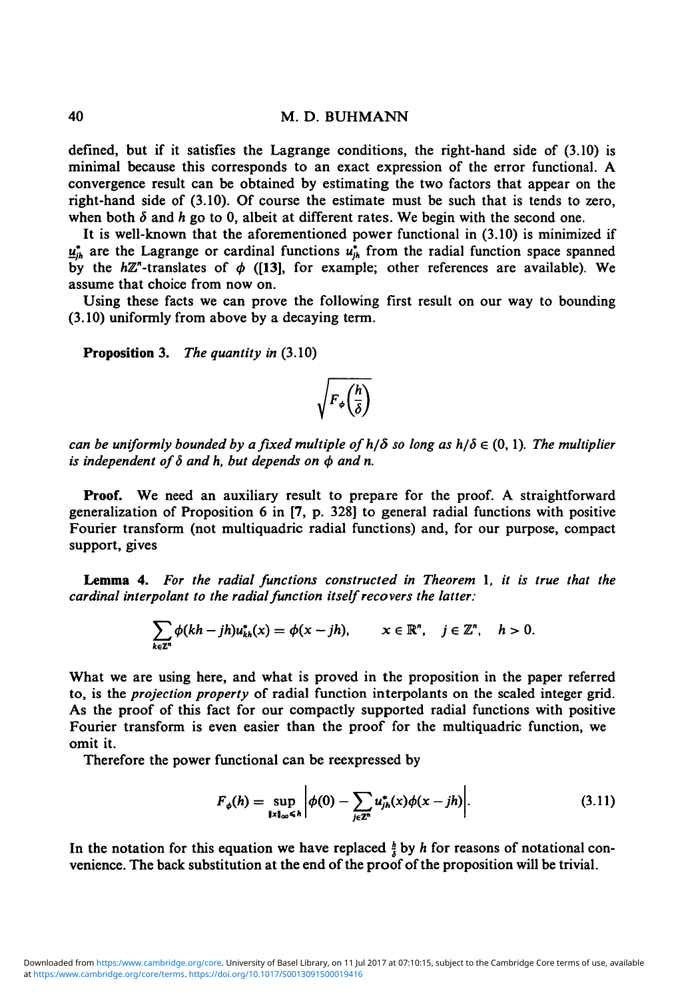defined, but if it satisfies the Lagrange conditions, the right-hand side of (3.10) is minimal because this corresponds to an exact expression of the error functional. A convergence result can be obtained by estimating the two factors that appear on the right-hand side of (3.10). Of course the estimate must be such that is tends to zero, when both  $\delta$  and  $h$  go to 0, albeit at different rates. We begin with the second one.

It is well-known that the aforementioned power functional in (3.10) is minimized if  $\underline{u}^*_{ik}$  are the Lagrange or cardinal functions  $u^*_{ik}$  from the radial function space spanned by the  $h\mathbb{Z}^n$ -translates of  $\phi$  ([13], for example; other references are available). We assume that choice from now on.

Using these facts we can prove the following first result on our way to bounding (3.10) uniformly from above by a decaying term.

**Proposition 3.** *The quantity in* (3.10)

# $\sqrt{F_{\phi}\left(\frac{h}{\delta}\right)}$

*can be uniformly bounded by a fixed multiple of*  $h/\delta$  *so long as*  $h/\delta \in (0, 1)$ *. The multiplier* is independent of  $\delta$  and h, but depends on  $\phi$  and n.

**Proof.** We need an auxiliary result to prepare for the proof. A straightforward generalization of Proposition 6 in [7, p. 328] to general radial functions with positive Fourier transform (not multiquadric radial functions) and, for our purpose, compact support, gives

**Lemma 4.** *For the radial functions constructed in Theorem* 1, *it is true that the cardinal interpolant to the radial function itself recovers the latter:*

$$
\sum_{k\in\mathbb{Z}^n}\phi(kh-jh)u_{kh}^*(x)=\phi(x-jh),\qquad x\in\mathbb{R}^n,\quad j\in\mathbb{Z}^n,\quad h>0.
$$

What we are using here, and what is proved in the proposition in the paper referred to, is the *projection property* of radial function interpolants on the scaled integer grid. As the proof of this fact for our compactly supported radial functions with positive Fourier transform is even easier than the proof for the multiquadric function, we omit it.

Therefore the power functional can be reexpressed by

$$
F_{\phi}(h) = \sup_{\|\mathbf{x}\|_{\infty} \leq h} \left| \phi(0) - \sum_{j \in \mathbb{Z}^n} u_{jk}^*(\mathbf{x}) \phi(\mathbf{x} - jh) \right|. \tag{3.11}
$$

In the notation for this equation we have replaced  $\frac{h}{\lambda}$  by h for reasons of notational convenience. The back substitution at the end of the proof of the proposition will be trivial.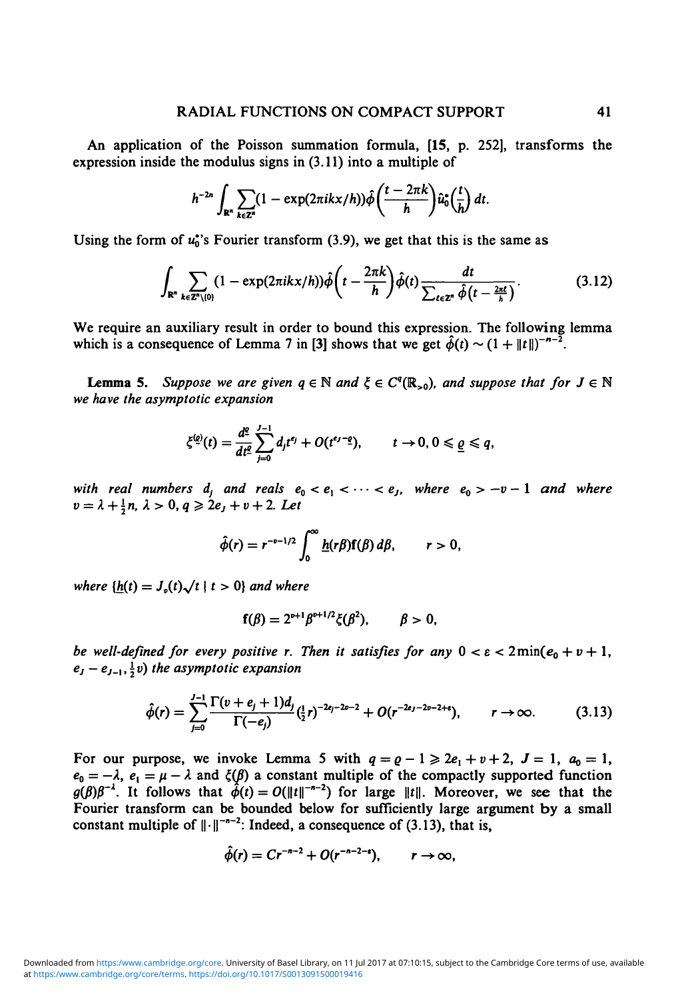An application of the Poisson summation formula, [15, p. 252], transforms the expression inside the modulus signs in (3.11) into a multiple of

$$
h^{-2n}\int_{\mathbb{R}^n}\sum_{k\in\mathbb{Z}^n}(1-\exp(2\pi ikx/h))\hat{\phi}\bigg(\frac{t-2\pi k}{h}\bigg)\hat{u}_0^*\bigg(\frac{t}{h}\bigg) dt.
$$

Using the form of  $u_0^*$ 's Fourier transform (3.9), we get that this is the same as

$$
\int_{\mathbf{R}^n} \sum_{k \in \mathbb{Z}^n \setminus \{0\}} (1 - \exp(2\pi i kx/h)) \hat{\phi}\bigg(t - \frac{2\pi k}{h}\bigg) \hat{\phi}(t) \frac{dt}{\sum_{\ell \in \mathbb{Z}^n} \hat{\phi}\big(t - \frac{2\pi \ell}{h}\big)}.
$$
(3.12)

We require an auxiliary result in order to bound this expression. The following lemma which is a consequence of Lemma 7 in [3] shows that we get  $\hat{\phi}(t) \sim (1 + |t|)^{-n-2}$ .

**Lemma 5.** Suppose we are given  $q \in \mathbb{N}$  and  $\xi \in C^q(\mathbb{R}_{>0})$ , and suppose that for  $J \in \mathbb{N}$ *we have the asymptotic expansion*

$$
\xi^{(q)}(t) = \frac{d^q}{dt^q} \sum_{j=0}^{J-1} d_j t^{e_j} + O(t^{e_J-q}), \qquad t \to 0, 0 \leq \underline{\varrho} \leq q,
$$

*with real numbers*  $d_j$  *and reals*  $e_0 < e_1 < \cdots < e_j$ *, where*  $e_0 > -v - 1$  *and where*  $v = \lambda + \frac{1}{2}n$ ,  $\lambda > 0$ ,  $q \ge 2e_j + v + 2$ . Let

$$
\hat{\phi}(r)=r^{-v-1/2}\int_0^\infty \underline{h}(r\beta)\mathbf{f}(\beta)\,d\beta,\qquad r>0,
$$

*where*  $\{h(t) = J_v(t)\sqrt{t} | t > 0\}$  *and where* 

$$
f(\beta) = 2^{\nu+1} \beta^{\nu+1/2} \xi(\beta^2), \qquad \beta > 0,
$$

*be well-defined for every positive r. Then it satisfies for any*  $0 < \varepsilon < 2\min(e_0 + v + 1)$ ,  $e_j - e_{j-1}, \frac{1}{2}v$ ) the asymptotic expansion

$$
\hat{\phi}(r) = \sum_{j=0}^{J-1} \frac{\Gamma(\nu + e_j + 1)d_j}{\Gamma(-e_j)} (\frac{1}{2}r)^{-2e_j - 2\nu - 2} + O(r^{-2e_j - 2\nu - 2 + \epsilon}), \qquad r \to \infty.
$$
 (3.13)

For our purpose, we invoke Lemma 5 with  $q = \rho - 1 \geq 2e_1 + v + 2$ ,  $J = 1$ ,  $a_0 = 1$ ,  $e_0 = -\lambda$ ,  $e_1 = \mu - \lambda$  and  $\xi(\beta)$  a constant multiple of the compactly supported function  $g(\beta)\beta^{-1}$ . It follows that  $\hat{\phi}(t) = O(||t||^{-n-2})$  for large  $||t||$ . Moreover, we see that the Fourier transform can be bounded below for sufficiently large argument by a small constant multiple of  $\lVert \cdot \rVert^{-n-2}$ : Indeed, a consequence of (3.13), that is,

$$
\hat{\phi}(r)=Cr^{-n-2}+O(r^{-n-2-\epsilon}),\qquad r\to\infty,
$$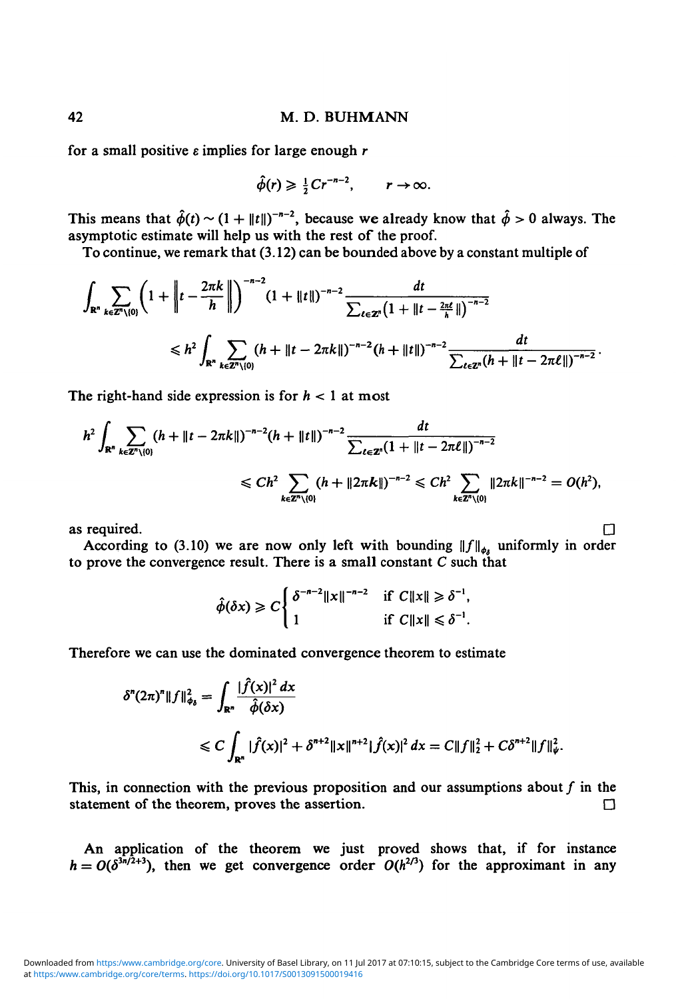for a small positive *e* implies for large enough r

$$
\hat{\phi}(r) \geq \frac{1}{2}Cr^{-n-2}, \qquad r \to \infty.
$$

This means that  $\hat{\phi}(t) \sim (1 + ||t||)^{-n-2}$ , because we already know that  $\hat{\phi} > 0$  always. The asymptotic estimate will help us with the rest of the proof.

To continue, we remark that (3.12) can be bounded above by a constant multiple of

$$
\int_{\mathbb{R}^n} \sum_{k \in \mathbb{Z}^n \setminus \{0\}} \left(1 + \left\|t - \frac{2\pi k}{h}\right\|\right)^{-n-2} (1 + \|t\|)^{-n-2} \frac{dt}{\sum_{\ell \in \mathbb{Z}^n} (1 + \|t - \frac{2\pi \ell}{h}\|)^{-n-2}} \leq h^2 \int_{\mathbb{R}^n} \sum_{k \in \mathbb{Z}^n \setminus \{0\}} (h + \|t - 2\pi k\|)^{-n-2} (h + \|t\|)^{-n-2} \frac{dt}{\sum_{\ell \in \mathbb{Z}^n} (h + \|t - 2\pi \ell\|)^{-n-2}}.
$$

The right-hand side expression is for  $h < 1$  at most

$$
h^{2} \int_{\mathbb{R}^{n}} \sum_{k \in \mathbb{Z}^{n} \setminus \{0\}} (h + \|t - 2\pi k\|)^{-n-2} (h + \|t\|)^{-n-2} \frac{dt}{\sum_{\ell \in \mathbb{Z}^{n}} (1 + \|t - 2\pi \ell\|)^{-n-2}} \leq Ch^{2} \sum_{k \in \mathbb{Z}^{n} \setminus \{0\}} (h + \|2\pi k\|)^{-n-2} \leq Ch^{2} \sum_{k \in \mathbb{Z}^{n} \setminus \{0\}} \|2\pi k\|^{-n-2} = O(h^{2}),
$$

as required.  $\Box$ 

According to (3.10) we are now only left with bounding  $||f||_{\phi_i}$  uniformly in order

$$
\hat{\phi}(\delta x) \geq C \begin{cases} \delta^{-n-2} ||x||^{-n-2} & \text{if } C ||x|| \geq \delta^{-1}, \\ 1 & \text{if } C ||x|| \leq \delta^{-1}. \end{cases}
$$

Therefore we can use the dominated convergence theorem to estimate

$$
\delta^{n}(2\pi)^{n}||f||_{\phi_{\delta}}^{2} = \int_{\mathbb{R}^{n}} \frac{|\hat{f}(x)|^{2} dx}{\hat{\phi}(\delta x)}
$$
  
 
$$
\leq C \int_{\mathbb{R}^{n}} |\hat{f}(x)|^{2} + \delta^{n+2} ||x||^{n+2} |\hat{f}(x)|^{2} dx = C ||f||_{2}^{2} + C\delta^{n+2} ||f||_{\psi}^{2}.
$$

This, in connection with the previous proposition and our assumptions about  $f$  in the statement of the theorem, proves the assertion.  $\Box$ 

An application of the theorem we just proved shows that, if for instance  $h = O(\delta^{3n/2+3})$ , then we get convergence order  $O(h^{2/3})$  for the approximant in any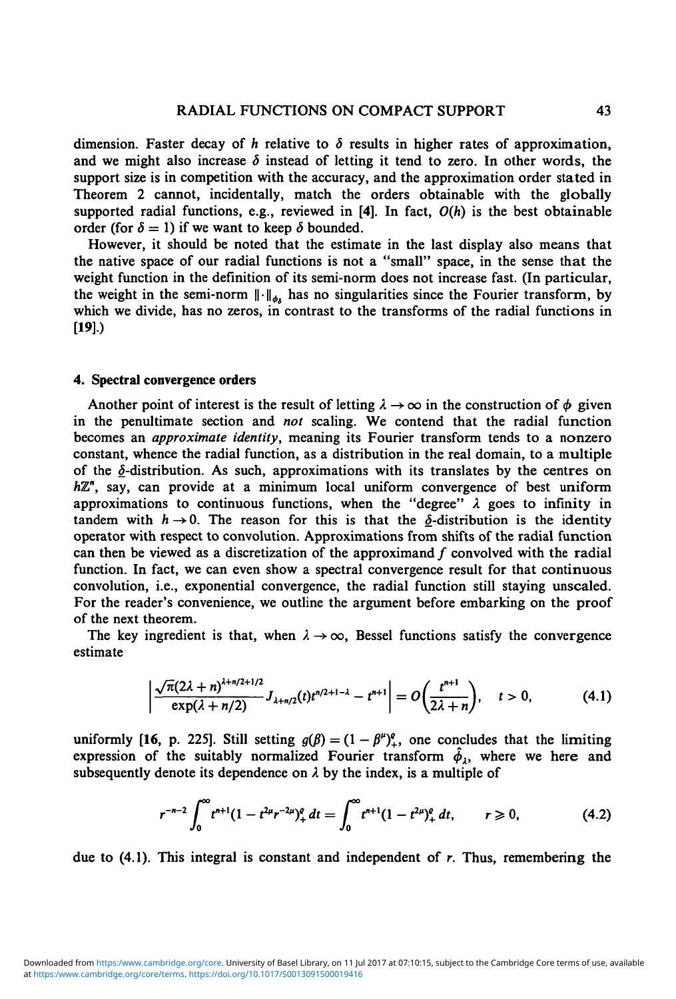dimension. Faster decay of h relative to  $\delta$  results in higher rates of approximation, and we might also increase  $\delta$  instead of letting it tend to zero. In other words, the support size is in competition with the accuracy, and the approximation order stated in Theorem 2 cannot, incidentally, match the orders obtainable with the globally supported radial functions, e.g., reviewed in [4]. In fact, *O(h)* is the best obtainable order (for  $\delta = 1$ ) if we want to keep  $\delta$  bounded.

However, it should be noted that the estimate in the last display also means that the native space of our radial functions is not a "small" space, in the sense that the weight function in the definition of its semi-norm does not increase fast. (In particular, the weight in the semi-norm  $\|\cdot\|_{\phi}$  has no singularities since the Fourier transform, by which we divide, has no zeros, in contrast to the transforms of the radial functions in [19].)

## 4. Spectral convergence orders

Another point of interest is the result of letting  $\lambda \rightarrow \infty$  in the construction of  $\phi$  given in the penultimate section and *not* scaling. We contend that the radial function becomes an *approximate identity,* meaning its Fourier transform tends to a nonzero constant, whence the radial function, as a distribution in the real domain, to a multiple of the  $\delta$ -distribution. As such, approximations with its translates by the centres on *HZ",* say, can provide at a minimum local uniform convergence of best uniform approximations to continuous functions, when the "degree"  $\lambda$  goes to infinity in tandem with  $h \rightarrow 0$ . The reason for this is that the  $\delta$ -distribution is the identity operator with respect to convolution. Approximations from shifts of the radial function can then be viewed as a discretization of the approximand  $f$  convolved with the radial function. In fact, we can even show a spectral convergence result for that continuous convolution, i.e., exponential convergence, the radial function still staying unsealed. For the reader's convenience, we outline the argument before embarking on the proof of the next theorem.

The key ingredient is that, when  $\lambda \rightarrow \infty$ , Bessel functions satisfy the convergence estimate

$$
\left|\frac{\sqrt{\pi}(2\lambda+n)^{\lambda+n/2+1/2}}{\exp(\lambda+n/2)}J_{\lambda+n/2}(t)t^{n/2+1-\lambda}-t^{n+1}\right|=O\left(\frac{t^{n+1}}{2\lambda+n}\right), \quad t>0,
$$
 (4.1)

uniformly [16, p. 225]. Still setting  $g(\beta) = (1 - \beta^{\mu})^{\rho}$ , one concludes that the limiting expression of the suitably normalized Fourier transform  $\hat{\phi}_1$ , where we here and subsequently denote its dependence on  $\lambda$  by the index, is a multiple of

$$
r^{-n-2} \int_0^\infty t^{n+1} (1-t^{2\mu} r^{-2\mu})_+^e dt = \int_0^\infty t^{n+1} (1-t^{2\mu})_+^e dt, \qquad r \geq 0,
$$
 (4.2)

due to  $(4.1)$ . This integral is constant and independent of r. Thus, remembering the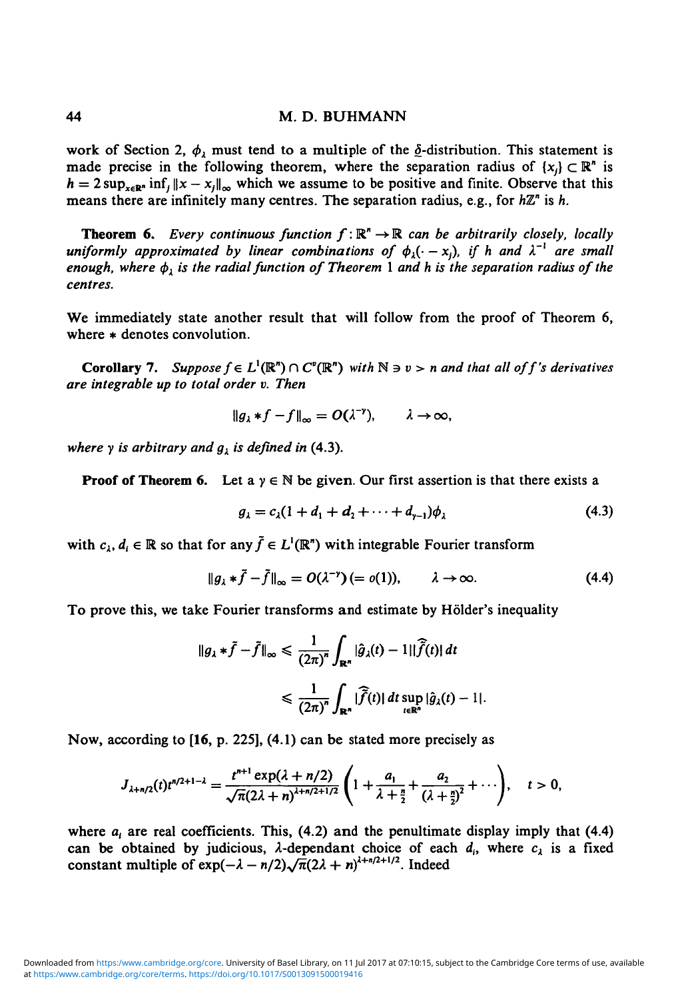work of Section 2,  $\phi_1$  must tend to a multiple of the  $\delta$ -distribution. This statement is made precise in the following theorem, where the separation radius of  $\{x_i\} \subset \mathbb{R}^n$  is  $h = 2 \sup_{x \in \mathbb{R}^n} \inf_{\|x - x_i\|_{\infty}}$  which we assume to be positive and finite. Observe that this means there are infinitely many centres. The separation radius, e.g., for *hZ"* is *h.*

**Theorem 6.** Every continuous function  $f: \mathbb{R}^n \to \mathbb{R}$  can be arbitrarily closely, locally uniformly approximated by linear combinations of  $\phi_{\lambda}(\cdot - x_j)$ , if h and  $\lambda^{-1}$  are small *enough, where*  $\phi_{\lambda}$  is the radial function of Theorem 1 and h is the separation radius of the *centres.*

We immediately state another result that will follow from the proof of Theorem 6, where  $*$  denotes convolution.

**Corollary 7.** Suppose  $f \in L^1(\mathbb{R}^n) \cap C^{\circ}(\mathbb{R}^n)$  with  $\mathbb{N} \ni \nu > n$  and that all of f's derivatives *are integrable up to total order v. Then*

$$
\|g_{\lambda}*f-f\|_{\infty}=O(\lambda^{-\gamma}), \qquad \lambda\to\infty,
$$

*where*  $\gamma$  *is arbitrary and*  $g_i$  *is defined in* (4.3).

**Proof of Theorem 6.** Let  $a \, y \in \mathbb{N}$  be given. Our first assertion is that there exists a

$$
g_{\lambda} = c_{\lambda}(1 + d_1 + d_2 + \dots + d_{\gamma-1})\phi_{\lambda} \tag{4.3}
$$

with  $c_i, d_i \in \mathbb{R}$  so that for any  $\tilde{f} \in L^1(\mathbb{R}^n)$  with integrable Fourier transform

$$
\|g_{\lambda} * \tilde{f} - \tilde{f}\|_{\infty} = O(\lambda^{-\nu}) (= o(1)), \qquad \lambda \to \infty.
$$
 (4.4)

To prove this, we take Fourier transforms and estimate by Holder's inequality

$$
\|g_{\lambda} * \tilde{f} - \tilde{f}\|_{\infty} \leq \frac{1}{(2\pi)^{n}} \int_{\mathbb{R}^{n}} |\hat{g}_{\lambda}(t) - 1||\tilde{f}(t)| dt
$$
  

$$
\leq \frac{1}{(2\pi)^{n}} \int_{\mathbb{R}^{n}} |\tilde{f}(t)| dt \sup_{t \in \mathbb{R}^{n}} |\hat{g}_{\lambda}(t) - 1|.
$$

Now, according to **[16,** p. 225], (4.1) can be stated more precisely as

$$
J_{\lambda+n/2}(t)t^{n/2+1-\lambda}=\frac{t^{n+1}\exp(\lambda+n/2)}{\sqrt{\pi}(2\lambda+n)^{\lambda+n/2+1/2}}\left(1+\frac{a_1}{\lambda+\frac{n}{2}}+\frac{a_2}{(\lambda+\frac{n}{2})^2}+\cdots\right), \quad t>0,
$$

where  $a_i$  are real coefficients. This, (4.2) and the penultimate display imply that (4.4) can be obtained by judicious,  $\lambda$ -dependant choice of each  $d_i$ , where  $c_\lambda$  is a fixed constant multiple of  $exp(-\lambda - n/2)\sqrt{\pi}(2\lambda + n)^{\lambda+n/2+1/2}$ . Indeed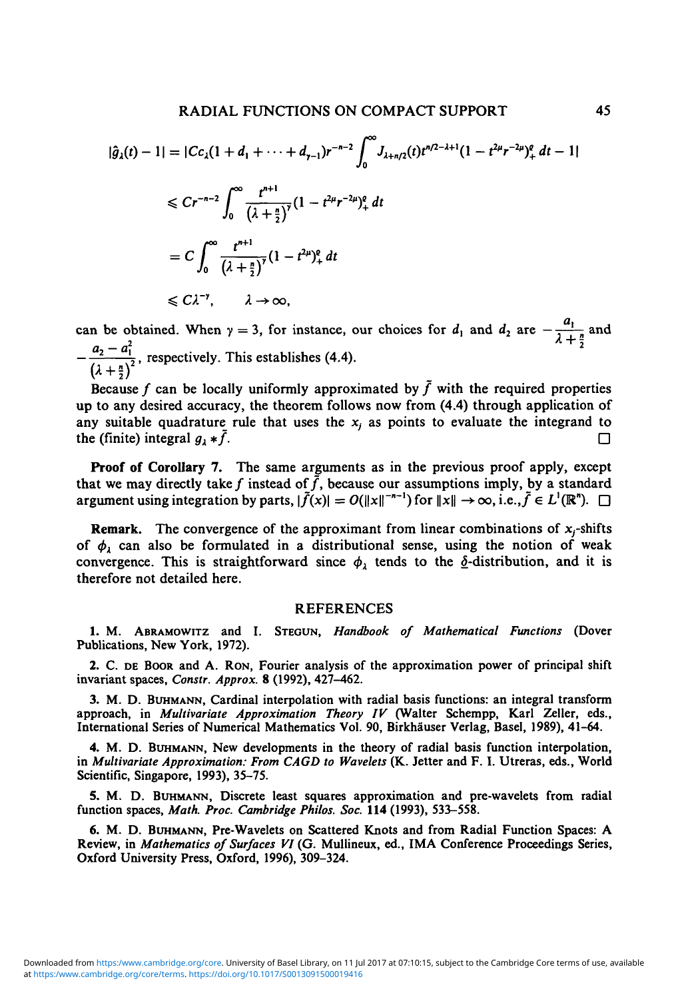$$
|\hat{g}_{\lambda}(t) - 1| = |Cc_{\lambda}(1 + d_{1} + \dots + d_{\gamma-1})r^{-n-2} \int_{0}^{\infty} J_{\lambda + n/2}(t)t^{n/2 - \lambda + 1} (1 - t^{2\mu}r^{-2\mu})_{+}^{p} dt - 1|
$$
  
\n
$$
\leq Cr^{-n-2} \int_{0}^{\infty} \frac{t^{n+1}}{(\lambda + \frac{n}{2})^{\gamma}} (1 - t^{2\mu}r^{-2\mu})_{+}^{p} dt
$$
  
\n
$$
= C \int_{0}^{\infty} \frac{t^{n+1}}{(\lambda + \frac{n}{2})^{\gamma}} (1 - t^{2\mu})_{+}^{p} dt
$$
  
\n
$$
\leq C\lambda^{-\gamma}, \qquad \lambda \to \infty,
$$

can be obtained. When  $\gamma = 3$ , for instance, our choices for  $d_1$  and  $d_2$  are  $-\frac{d_1}{\lambda + \frac{d_2}{2}}$  and  $-\frac{a_2-a_1^2}{(\lambda+\frac{n}{2})^2}$ , respectively. This establishes (4.4).

Because f can be locally uniformly approximated by  $\tilde{f}$  with the required properties up to any desired accuracy, the theorem follows now from (4.4) through application of any suitable quadrature rule that uses the *x{* as points to evaluate the integrand to the (finite) integral  $q_1 * \bar{f}$ .

**Proof of Corollary 7.** The same arguments as in the previous proof apply, except that we may directly take f instead of  $\tilde{f}$ , because our assumptions imply, by a standard argument using integration by parts,  $|\tilde{f}(x)| = O(||x||^{-n-1})$  for  $||x|| \to \infty$ , i.e.,  $\tilde{f} \in L^1(\mathbb{R}^n)$ .  $\Box$ 

**Remark.** The convergence of the approximant from linear combinations of  $x_j$ -shifts of  $\phi_i$  can also be formulated in a distributional sense, using the notion of weak convergence. This is straightforward since  $\phi_1$  tends to the  $\delta$ -distribution, and it is therefore not detailed here.

### REFERENCES

1. M. ABRAMOWITZ and I. STEGUN, *Handbook of Mathematical Functions* (Dover Publications, New York, 1972).

2. C. DE BOOR and A. RON, Fourier analysis of the approximation power of principal shift invariant spaces, *Constr. Approx.* 8 (1992), 427-462.

3. M. D. BUHMANN, Cardinal interpolation with radial basis functions: an integral transform approach, in *Multivariate Approximation Theory IV* (Walter Schempp, Karl Zeller, eds., International Series of Numerical Mathematics Vol. 90, Birkhauser Verlag, Basel, 1989), 41-64.

4. M. D. BUHMANN, New developments in the theory of radial basis function interpolation, in *Multivariate Approximation: From CAGD to Wavelets* (K. Jetter and F. I. Utreras, eds., World Scientific, Singapore, 1993), 35-75.

5. M. D. BUHMANN, Discrete least squares approximation and pre-wavelets from radial function spaces, *Math. Proc. Cambridge Philos. Soc.* 114 (1993), 533-558.

6. M. D. BUHMANN, Pre-Wavelets on Scattered Knots and from Radial Function Spaces: A Review, in *Mathematics of Surfaces VI* (G. Mullineux, ed., IMA Conference Proceedings Series, Oxford University Press, Oxford, 1996), 309-324.